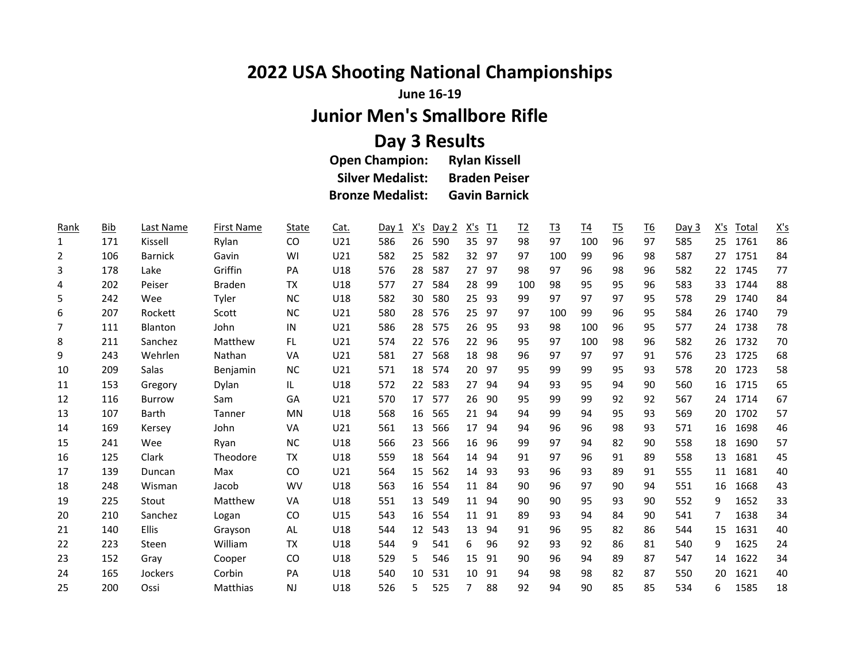## **2022 USA Shooting National Championships**

**June 16-19**

## **Junior Men's Smallbore Rifle**

## **Day 3 Results**

| <b>Open Champion:</b>   | <b>Rylan Kissell</b> |
|-------------------------|----------------------|
| <b>Silver Medalist:</b> | <b>Braden Peiser</b> |
| <b>Bronze Medalist:</b> | <b>Gavin Barnick</b> |

| Rank           | <b>Bib</b> | Last Name      | <b>First Name</b> | <b>State</b> | Cat.            | Day 1 | <u>X's</u> | Day 2 | <u>X's</u>      | $\underline{\mathsf{T1}}$ | $\underline{12}$ | <u>T3</u> | <u>T4</u> | <u>T5</u> | <u>T6</u> | Day 3 | <u>X's</u> | <u>Total</u> | $\underline{X'S}$ |
|----------------|------------|----------------|-------------------|--------------|-----------------|-------|------------|-------|-----------------|---------------------------|------------------|-----------|-----------|-----------|-----------|-------|------------|--------------|-------------------|
| 1              | 171        | Kissell        | Rylan             | CO           | U21             | 586   | 26         | 590   | 35              | 97                        | 98               | 97        | 100       | 96        | 97        | 585   | 25         | 1761         | 86                |
| 2              | 106        | <b>Barnick</b> | Gavin             | WI           | U <sub>21</sub> | 582   | 25         | 582   | 32 <sup>2</sup> | 97                        | 97               | 100       | 99        | 96        | 98        | 587   | 27         | 1751         | 84                |
| 3              | 178        | Lake           | Griffin           | PA           | U18             | 576   | 28         | 587   | 27              | 97                        | 98               | 97        | 96        | 98        | 96        | 582   | 22         | 1745         | 77                |
| 4              | 202        | Peiser         | <b>Braden</b>     | <b>TX</b>    | U18             | 577   | 27         | 584   | 28              | 99                        | 100              | 98        | 95        | 95        | 96        | 583   | 33         | 1744         | 88                |
| 5              | 242        | Wee            | Tyler             | <b>NC</b>    | U18             | 582   | 30         | 580   | 25              | 93                        | 99               | 97        | 97        | 97        | 95        | 578   | 29         | 1740         | 84                |
| 6              | 207        | Rockett        | Scott             | <b>NC</b>    | U21             | 580   | 28         | 576   | 25              | 97                        | 97               | 100       | 99        | 96        | 95        | 584   | 26         | 1740         | 79                |
| $\overline{7}$ | 111        | <b>Blanton</b> | John              | IN           | U <sub>21</sub> | 586   | 28         | 575   | 26              | 95                        | 93               | 98        | 100       | 96        | 95        | 577   | 24         | 1738         | 78                |
| 8              | 211        | Sanchez        | Matthew           | FL           | U21             | 574   | 22         | 576   | 22              | 96                        | 95               | 97        | 100       | 98        | 96        | 582   | 26         | 1732         | 70                |
| 9              | 243        | Wehrlen        | Nathan            | VA           | U <sub>21</sub> | 581   | 27         | 568   | 18              | 98                        | 96               | 97        | 97        | 97        | 91        | 576   | 23         | 1725         | 68                |
| 10             | 209        | Salas          | <b>Benjamin</b>   | <b>NC</b>    | U21             | 571   | 18         | 574   | 20              | 97                        | 95               | 99        | 99        | 95        | 93        | 578   | 20         | 1723         | 58                |
| 11             | 153        | Gregory        | Dylan             | IL.          | U18             | 572   | 22         | 583   | 27              | 94                        | 94               | 93        | 95        | 94        | 90        | 560   | 16         | 1715         | 65                |
| 12             | 116        | <b>Burrow</b>  | Sam               | GA           | U21             | 570   | 17         | 577   | 26              | 90                        | 95               | 99        | 99        | 92        | 92        | 567   | 24         | 1714         | 67                |
| 13             | 107        | <b>Barth</b>   | Tanner            | MN           | U18             | 568   | 16         | 565   | 21              | 94                        | 94               | 99        | 94        | 95        | 93        | 569   | 20         | 1702         | 57                |
| 14             | 169        | Kersey         | John              | VA           | U21             | 561   | 13         | 566   | 17              | 94                        | 94               | 96        | 96        | 98        | 93        | 571   | 16         | 1698         | 46                |
| 15             | 241        | Wee            | Ryan              | <b>NC</b>    | U18             | 566   | 23         | 566   | 16              | 96                        | 99               | 97        | 94        | 82        | 90        | 558   | 18         | 1690         | 57                |
| 16             | 125        | Clark          | Theodore          | TX           | U18             | 559   | 18         | 564   | 14              | 94                        | 91               | 97        | 96        | 91        | 89        | 558   | 13         | 1681         | 45                |
| 17             | 139        | Duncan         | Max               | CO           | U21             | 564   | 15         | 562   | 14              | 93                        | 93               | 96        | 93        | 89        | 91        | 555   | 11         | 1681         | 40                |
| 18             | 248        | Wisman         | Jacob             | <b>WV</b>    | U18             | 563   | 16         | 554   | 11              | 84                        | 90               | 96        | 97        | 90        | 94        | 551   | 16         | 1668         | 43                |
| 19             | 225        | Stout          | Matthew           | VA           | U18             | 551   | 13         | 549   | 11              | 94                        | 90               | 90        | 95        | 93        | 90        | 552   | 9          | 1652         | 33                |
| 20             | 210        | Sanchez        | Logan             | CO           | U15             | 543   | 16         | 554   | 11              | 91                        | 89               | 93        | 94        | 84        | 90        | 541   | 7          | 1638         | 34                |
| 21             | 140        | <b>Ellis</b>   | Grayson           | AL           | U18             | 544   | 12         | 543   | 13              | 94                        | 91               | 96        | 95        | 82        | 86        | 544   | 15         | 1631         | 40                |
| 22             | 223        | Steen          | William           | TX           | U18             | 544   | 9          | 541   | 6               | 96                        | 92               | 93        | 92        | 86        | 81        | 540   | 9          | 1625         | 24                |
| 23             | 152        | Gray           | Cooper            | CO           | U18             | 529   | 5          | 546   | 15              | 91                        | 90               | 96        | 94        | 89        | 87        | 547   | 14         | 1622         | 34                |
| 24             | 165        | Jockers        | Corbin            | <b>PA</b>    | U18             | 540   | 10         | 531   | 10              | 91                        | 94               | 98        | 98        | 82        | 87        | 550   | 20         | 1621         | 40                |
| 25             | 200        | Ossi           | Matthias          | NJ           | U18             | 526   | 5          | 525   | $\overline{7}$  | 88                        | 92               | 94        | 90        | 85        | 85        | 534   | 6          | 1585         | 18                |
|                |            |                |                   |              |                 |       |            |       |                 |                           |                  |           |           |           |           |       |            |              |                   |